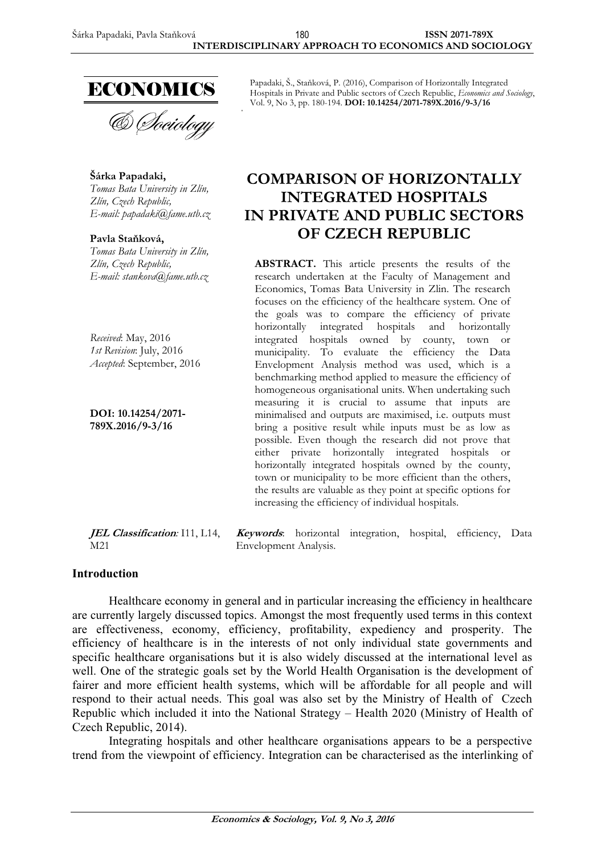

**Šárka Papadaki,**  *Tomas Bata University in Zlín, Zlín, Czech Republic, E-mail: papadaki@fame.utb.cz* 

**Pavla Stałková,** *Tomas Bata University in Zlín, Zlín, Czech Republic, E-mail: stankova@fame.utb.cz* 

*Received*: May, 2016 *1st Revision*: July, 2016 *Accepted*: September, 2016

**DOI: 10.14254/2071- 789X.2016/9-3/16**

Papadaki, Š., Stałková, P. (2016), Comparison of Horizontally Integrated Hospitals in Private and Public sectors of Czech Republic, *Economics and Sociology*, Vol. 9, No 3, pp. 180-194. **DOI: 10.14254/2071-789X.2016/9-3/16** 

# **COMPARISON OF HORIZONTALLY INTEGRATED HOSPITALS IN PRIVATE AND PUBLIC SECTORS OF CZECH REPUBLIC**

**ABSTRACT.** This article presents the results of the research undertaken at the Faculty of Management and Economics, Tomas Bata University in Zlin. The research focuses on the efficiency of the healthcare system. One of the goals was to compare the efficiency of private horizontally integrated hospitals and horizontally integrated hospitals owned by county, town or municipality. To evaluate the efficiency the Data Envelopment Analysis method was used, which is a benchmarking method applied to measure the efficiency of homogeneous organisational units. When undertaking such measuring it is crucial to assume that inputs are minimalised and outputs are maximised, i.e. outputs must bring a positive result while inputs must be as low as possible. Even though the research did not prove that either private horizontally integrated hospitals or horizontally integrated hospitals owned by the county, town or municipality to be more efficient than the others, the results are valuable as they point at specific options for increasing the efficiency of individual hospitals.

**JEL Classification***:* I11, L14, M21 **Keywords**: horizontal integration, hospital, efficiency, Data Envelopment Analysis.

### **Introduction**

Healthcare economy in general and in particular increasing the efficiency in healthcare are currently largely discussed topics. Amongst the most frequently used terms in this context are effectiveness, economy, efficiency, profitability, expediency and prosperity. The efficiency of healthcare is in the interests of not only individual state governments and specific healthcare organisations but it is also widely discussed at the international level as well. One of the strategic goals set by the World Health Organisation is the development of fairer and more efficient health systems, which will be affordable for all people and will respond to their actual needs. This goal was also set by the Ministry of Health of Czech Republic which included it into the National Strategy – Health 2020 (Ministry of Health of Czech Republic, 2014).

Integrating hospitals and other healthcare organisations appears to be a perspective trend from the viewpoint of efficiency. Integration can be characterised as the interlinking of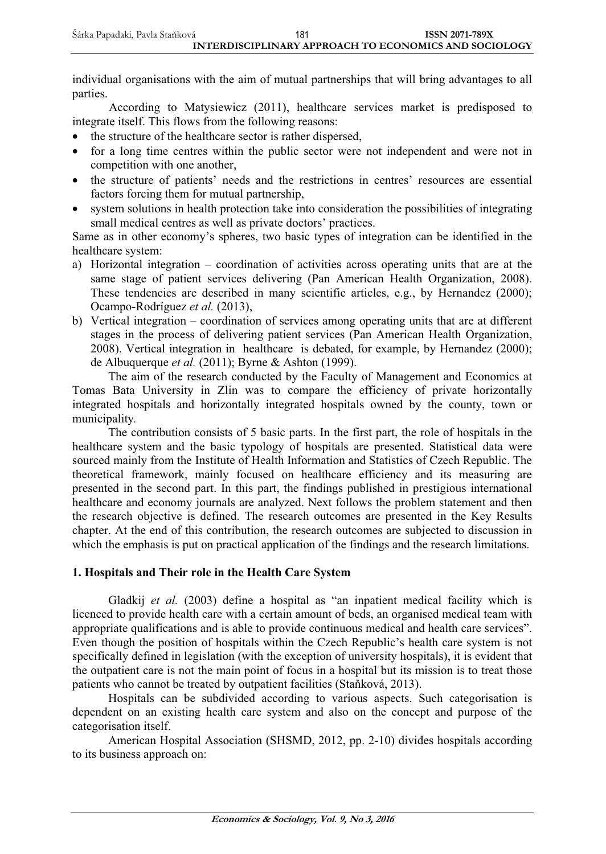individual organisations with the aim of mutual partnerships that will bring advantages to all parties.

According to Matysiewicz (2011), healthcare services market is predisposed to integrate itself. This flows from the following reasons:

- the structure of the healthcare sector is rather dispersed,
- for a long time centres within the public sector were not independent and were not in competition with one another,
- the structure of patients' needs and the restrictions in centres' resources are essential factors forcing them for mutual partnership,
- system solutions in health protection take into consideration the possibilities of integrating small medical centres as well as private doctors' practices.

Same as in other economy's spheres, two basic types of integration can be identified in the healthcare system:

- a) Horizontal integration coordination of activities across operating units that are at the same stage of patient services delivering (Pan American Health Organization, 2008). These tendencies are described in many scientific articles, e.g., by Hernandez (2000); Ocampo-Rodríguez *et al.* (2013),
- b) Vertical integration coordination of services among operating units that are at different stages in the process of delivering patient services (Pan American Health Organization, 2008). Vertical integration in healthcare is debated, for example, by Hernandez (2000); de Albuquerque *et al.* (2011); Byrne & Ashton (1999).

The aim of the research conducted by the Faculty of Management and Economics at Tomas Bata University in Zlin was to compare the efficiency of private horizontally integrated hospitals and horizontally integrated hospitals owned by the county, town or municipality*.*

The contribution consists of 5 basic parts. In the first part, the role of hospitals in the healthcare system and the basic typology of hospitals are presented. Statistical data were sourced mainly from the Institute of Health Information and Statistics of Czech Republic. The theoretical framework, mainly focused on healthcare efficiency and its measuring are presented in the second part. In this part, the findings published in prestigious international healthcare and economy journals are analyzed. Next follows the problem statement and then the research objective is defined. The research outcomes are presented in the Key Results chapter. At the end of this contribution, the research outcomes are subjected to discussion in which the emphasis is put on practical application of the findings and the research limitations.

# **1. Hospitals and Their role in the Health Care System**

Gladkij *et al.* (2003) define a hospital as "an inpatient medical facility which is licenced to provide health care with a certain amount of beds, an organised medical team with appropriate qualifications and is able to provide continuous medical and health care services". Even though the position of hospitals within the Czech Republic's health care system is not specifically defined in legislation (with the exception of university hospitals), it is evident that the outpatient care is not the main point of focus in a hospital but its mission is to treat those patients who cannot be treated by outpatient facilities (Staňková, 2013).

Hospitals can be subdivided according to various aspects. Such categorisation is dependent on an existing health care system and also on the concept and purpose of the categorisation itself.

American Hospital Association (SHSMD, 2012, pp. 2-10) divides hospitals according to its business approach on: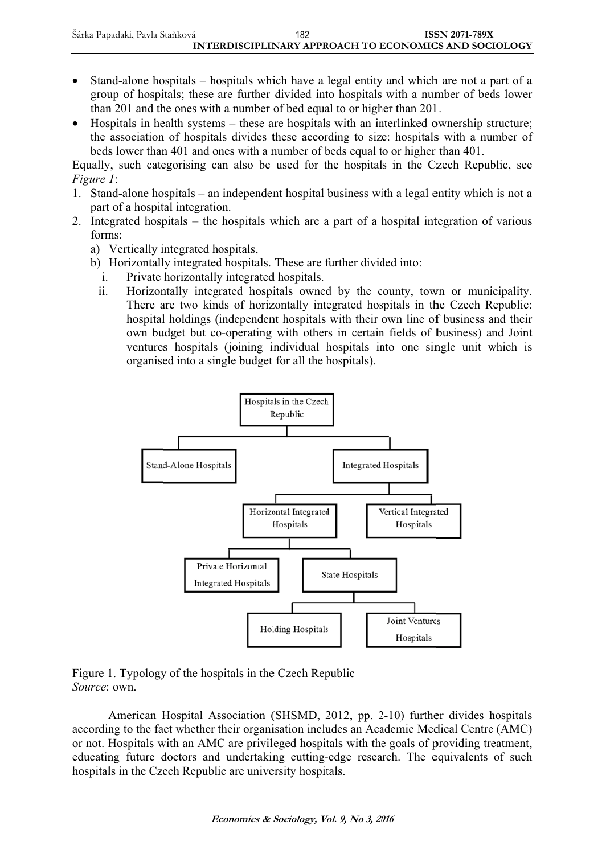- Stand-alone hospitals hospitals which have a legal entity and which are not a part of a group of hospitals; these are further divided into hospitals with a number of beds lower than 201 and the ones with a number of bed equal to or higher than 201.
- Hospitals in health systems these are hospitals with an interlinked ownership structure; the association of hospitals divides these according to size: hospitals with a number of beds lower than 401 and ones with a number of beds equal to or higher than 401.

Equally, such categorising can also be used for the hospitals in the Czech Republic, see Figure 1:

- 1. Stand-alone hospitals an independent hospital business with a legal entity which is not a part of a hospital integration.
- 2. Integrated hospitals the hospitals which are a part of a hospital integration of various forms:
	- a) Vertically integrated hospitals,
	- b) Horizontally integrated hospitals. These are further divided into:
	- $\mathbf{i}$ . Private horizontally integrated hospitals.
	- $ii.$ Horizontally integrated hospitals owned by the county, town or municipality. There are two kinds of horizontally integrated hospitals in the Czech Republic: hospital holdings (independent hospitals with their own line of business and their own budget but co-operating with others in certain fields of business) and Joint ventures hospitals (joining individual hospitals into one single unit which is organised into a single budget for all the hospitals).



Figure 1. Typology of the hospitals in the Czech Republic Source: own.

American Hospital Association (SHSMD, 2012, pp. 2-10) further divides hospitals according to the fact whether their organisation includes an Academic Medical Centre (AMC) or not. Hospitals with an AMC are privileged hospitals with the goals of providing treatment, educating future doctors and undertaking cutting-edge research. The equivalents of such hospitals in the Czech Republic are university hospitals.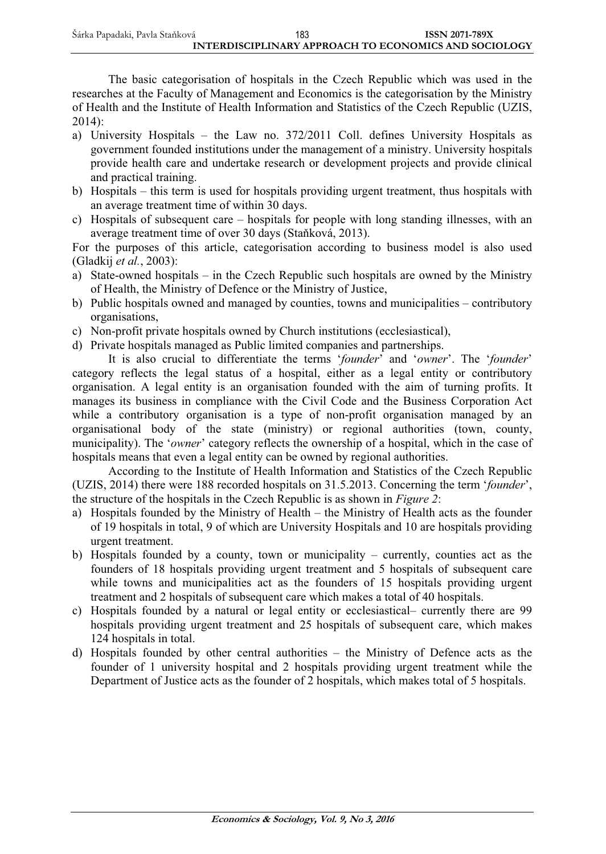| Šárka Papadaki, Pavla Staňková | 183                                                   | <b>ISSN 2071-789X</b> |
|--------------------------------|-------------------------------------------------------|-----------------------|
|                                | INTERDISCIPLINARY APPROACH TO ECONOMICS AND SOCIOLOGY |                       |

The basic categorisation of hospitals in the Czech Republic which was used in the researches at the Faculty of Management and Economics is the categorisation by the Ministry of Health and the Institute of Health Information and Statistics of the Czech Republic (UZIS, 2014):

- a) University Hospitals the Law no. 372/2011 Coll. defines University Hospitals as government founded institutions under the management of a ministry. University hospitals provide health care and undertake research or development projects and provide clinical and practical training.
- b) Hospitals this term is used for hospitals providing urgent treatment, thus hospitals with an average treatment time of within 30 days.
- c) Hospitals of subsequent care hospitals for people with long standing illnesses, with an average treatment time of over 30 days (Staňková, 2013).

For the purposes of this article, categorisation according to business model is also used (Gladkij *et al.*, 2003):

- a) State-owned hospitals in the Czech Republic such hospitals are owned by the Ministry of Health, the Ministry of Defence or the Ministry of Justice,
- b) Public hospitals owned and managed by counties, towns and municipalities contributory organisations,
- c) Non-profit private hospitals owned by Church institutions (ecclesiastical),
- d) Private hospitals managed as Public limited companies and partnerships.

It is also crucial to differentiate the terms '*founder*' and '*owner*'. The '*founder*' category reflects the legal status of a hospital, either as a legal entity or contributory organisation. A legal entity is an organisation founded with the aim of turning profits. It manages its business in compliance with the Civil Code and the Business Corporation Act while a contributory organisation is a type of non-profit organisation managed by an organisational body of the state (ministry) or regional authorities (town, county, municipality). The '*owner*' category reflects the ownership of a hospital, which in the case of hospitals means that even a legal entity can be owned by regional authorities.

According to the Institute of Health Information and Statistics of the Czech Republic (UZIS, 2014) there were 188 recorded hospitals on 31.5.2013. Concerning the term '*founder*', the structure of the hospitals in the Czech Republic is as shown in *Figure 2*:

- a) Hospitals founded by the Ministry of Health the Ministry of Health acts as the founder of 19 hospitals in total, 9 of which are University Hospitals and 10 are hospitals providing urgent treatment.
- b) Hospitals founded by a county, town or municipality currently, counties act as the founders of 18 hospitals providing urgent treatment and 5 hospitals of subsequent care while towns and municipalities act as the founders of 15 hospitals providing urgent treatment and 2 hospitals of subsequent care which makes a total of 40 hospitals.
- c) Hospitals founded by a natural or legal entity or ecclesiastical– currently there are 99 hospitals providing urgent treatment and 25 hospitals of subsequent care, which makes 124 hospitals in total.
- d) Hospitals founded by other central authorities the Ministry of Defence acts as the founder of 1 university hospital and 2 hospitals providing urgent treatment while the Department of Justice acts as the founder of 2 hospitals, which makes total of 5 hospitals.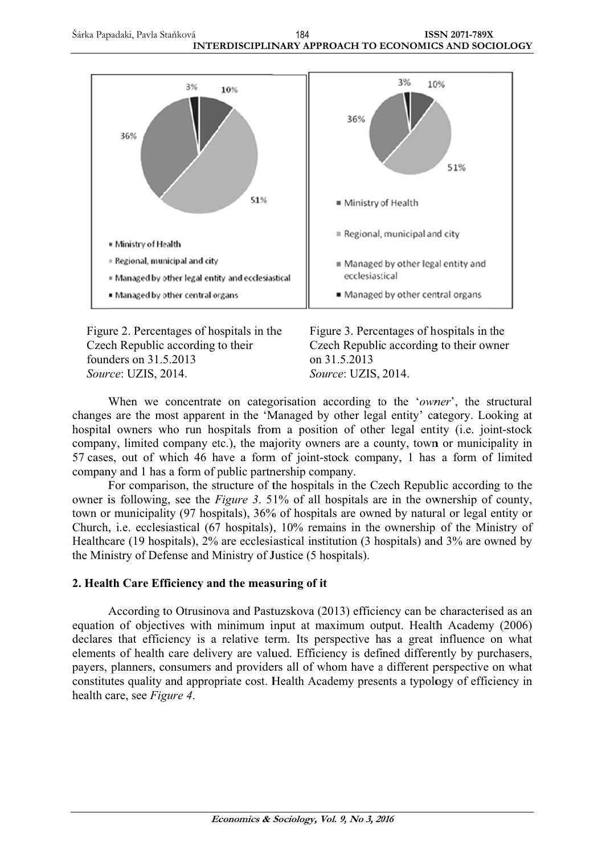Šárka Papadaki, Pavla Staňková **ISSN 2071-789X** 184 INTERDISCIPLINARY APPROACH TO ECONOMICS AND SOCIOLOGY



Figure 2. Percentages of hospitals in the Czech Republic according to their founders on 31.5.2013 Source: UZIS, 2014.

Figure 3. Percentages of hospitals in the Czech Republic according to their owner on 31.5.2013 Source: UZIS, 2014.

When we concentrate on categorisation according to the 'owner', the structural changes are the most apparent in the 'Managed by other legal entity' category. Looking at hospital owners who run hospitals from a position of other legal entity (i.e. joint-stock company, limited company etc.), the majority owners are a county, town or municipality in 57 cases, out of which 46 have a form of joint-stock company, 1 has a form of limited company and 1 has a form of public partnership company.

For comparison, the structure of the hospitals in the Czech Republic according to the owner is following, see the Figure 3. 51% of all hospitals are in the ownership of county, town or municipality (97 hospitals), 36% of hospitals are owned by natural or legal entity or Church, i.e. ecclesiastical (67 hospitals), 10% remains in the ownership of the Ministry of Healthcare (19 hospitals), 2% are ecclesiastical institution (3 hospitals) and 3% are owned by the Ministry of Defense and Ministry of Justice (5 hospitals).

# 2. Health Care Efficiency and the measuring of it

According to Otrusinova and Pastuzskova (2013) efficiency can be characterised as an equation of objectives with minimum input at maximum output. Health Academy (2006) declares that efficiency is a relative term. Its perspective has a great influence on what elements of health care delivery are valued. Efficiency is defined differently by purchasers, payers, planners, consumers and providers all of whom have a different perspective on what constitutes quality and appropriate cost. Health Academy presents a typology of efficiency in health care, see Figure 4.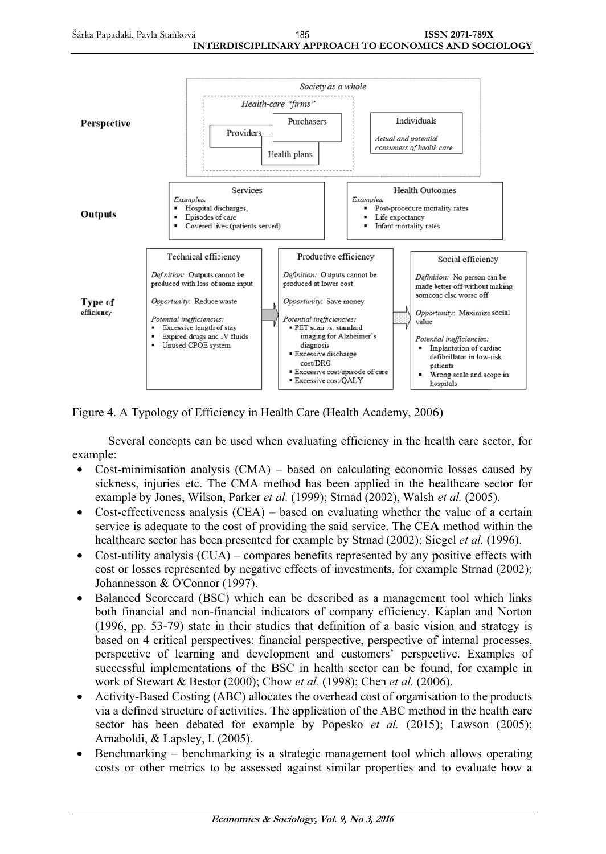

Figure 4. A Typology of Efficiency in Health Care (Health Academy, 2006)

Several concepts can be used when evaluating efficiency in the health care sector, for example:

- Cost-minimisation analysis  $(CMA)$  based on calculating economic losses caused by  $\bullet$ sickness, injuries etc. The CMA method has been applied in the healthcare sector for example by Jones, Wilson, Parker et al. (1999); Strnad (2002), Walsh et al. (2005).
- Cost-effectiveness analysis  $(CEA)$  based on evaluating whether the value of a certain service is adequate to the cost of providing the said service. The CEA method within the healthcare sector has been presented for example by Strnad (2002); Siegel *et al.* (1996).
- Cost-utility analysis  $(CUA)$  compares benefits represented by any positive effects with  $\bullet$ cost or losses represented by negative effects of investments, for example Strnad (2002); Johannesson & O'Connor (1997).
- Balanced Scorecard (BSC) which can be described as a management tool which links  $\bullet$ both financial and non-financial indicators of company efficiency. Kaplan and Norton  $(1996, pp. 53-79)$  state in their studies that definition of a basic vision and strategy is based on 4 critical perspectives: financial perspective, perspective of internal processes, perspective of learning and development and customers' perspective. Examples of successful implementations of the BSC in health sector can be found, for example in work of Stewart & Bestor (2000); Chow et al. (1998); Chen et al. (2006).
- Activity-Based Costing (ABC) allocates the overhead cost of organisation to the products  $\bullet$ via a defined structure of activities. The application of the ABC method in the health care sector has been debated for example by Popesko et al. (2015); Lawson (2005); Arnaboldi, & Lapsley, I. (2005).
- Benchmarking benchmarking is a strategic management tool which allows operating costs or other metrics to be assessed against similar properties and to evaluate how a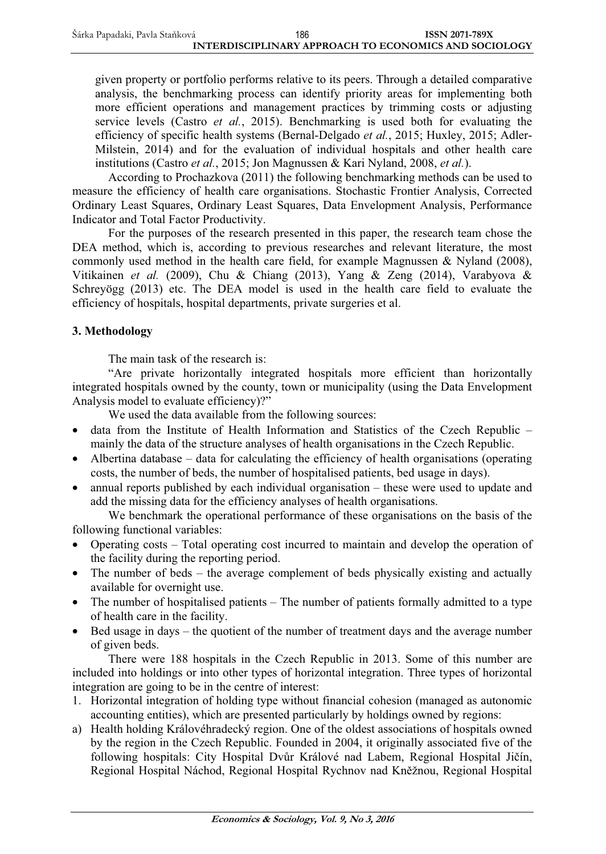given property or portfolio performs relative to its peers. Through a detailed comparative analysis, the benchmarking process can identify priority areas for implementing both more efficient operations and management practices by trimming costs or adjusting service levels (Castro *et al.*, 2015). Benchmarking is used both for evaluating the efficiency of specific health systems (Bernal-Delgado *et al.*, 2015; Huxley, 2015; Adler-Milstein, 2014) and for the evaluation of individual hospitals and other health care institutions (Castro *et al.*, 2015; Jon Magnussen & Kari Nyland, 2008, *et al.*).

According to Prochazkova (2011) the following benchmarking methods can be used to measure the efficiency of health care organisations. Stochastic Frontier Analysis, Corrected Ordinary Least Squares, Ordinary Least Squares, Data Envelopment Analysis, Performance Indicator and Total Factor Productivity.

For the purposes of the research presented in this paper, the research team chose the DEA method, which is, according to previous researches and relevant literature, the most commonly used method in the health care field, for example Magnussen & Nyland (2008), Vitikainen *et al.* (2009), Chu & Chiang (2013), Yang & Zeng (2014), Varabyova & Schreyögg (2013) etc. The DEA model is used in the health care field to evaluate the efficiency of hospitals, hospital departments, private surgeries et al.

# **3. Methodology**

The main task of the research is:

"Are private horizontally integrated hospitals more efficient than horizontally integrated hospitals owned by the county, town or municipality (using the Data Envelopment Analysis model to evaluate efficiency)?"

We used the data available from the following sources:

- data from the Institute of Health Information and Statistics of the Czech Republic mainly the data of the structure analyses of health organisations in the Czech Republic.
- Albertina database data for calculating the efficiency of health organisations (operating costs, the number of beds, the number of hospitalised patients, bed usage in days).
- annual reports published by each individual organisation these were used to update and add the missing data for the efficiency analyses of health organisations.

We benchmark the operational performance of these organisations on the basis of the following functional variables:

- Operating costs Total operating cost incurred to maintain and develop the operation of the facility during the reporting period.
- The number of beds the average complement of beds physically existing and actually available for overnight use.
- The number of hospitalised patients The number of patients formally admitted to a type of health care in the facility.
- Bed usage in days the quotient of the number of treatment days and the average number of given beds.

There were 188 hospitals in the Czech Republic in 2013. Some of this number are included into holdings or into other types of horizontal integration. Three types of horizontal integration are going to be in the centre of interest:

- 1. Horizontal integration of holding type without financial cohesion (managed as autonomic accounting entities), which are presented particularly by holdings owned by regions:
- a) Health holding Královéhradecký region. One of the oldest associations of hospitals owned by the region in the Czech Republic. Founded in 2004, it originally associated five of the following hospitals: City Hospital Dvůr Králové nad Labem, Regional Hospital Jičín, Regional Hospital Náchod, Regional Hospital Rychnov nad Kněžnou, Regional Hospital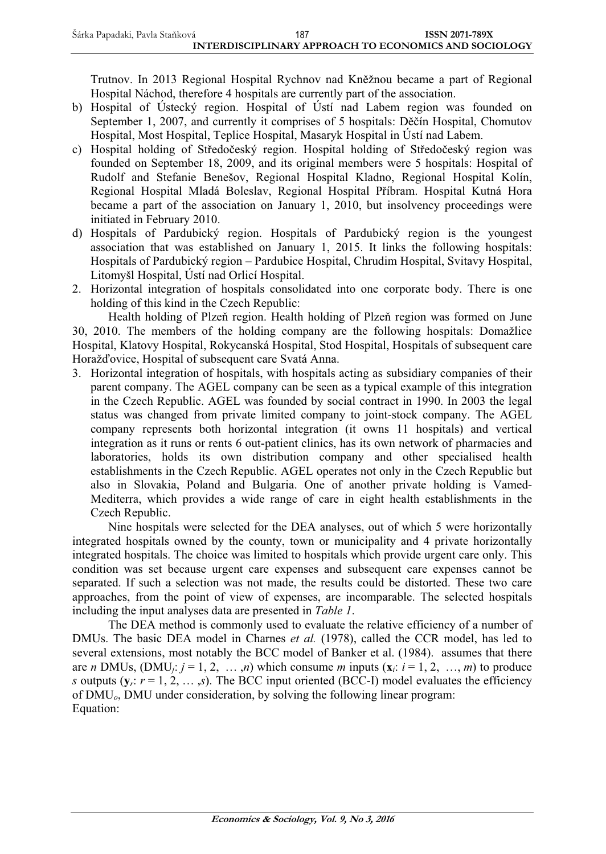Trutnov. In 2013 Regional Hospital Rychnov nad Kněžnou became a part of Regional Hospital Náchod, therefore 4 hospitals are currently part of the association.

- b) Hospital of Ústecký region. Hospital of Ústí nad Labem region was founded on September 1, 2007, and currently it comprises of 5 hospitals: Děčín Hospital, Chomutov Hospital, Most Hospital, Teplice Hospital, Masaryk Hospital in Ústí nad Labem.
- c) Hospital holding of Středočeský region. Hospital holding of Středočeský region was founded on September 18, 2009, and its original members were 5 hospitals: Hospital of Rudolf and Stefanie Benešov, Regional Hospital Kladno, Regional Hospital Kolín, Regional Hospital Mladá Boleslav, Regional Hospital Příbram. Hospital Kutná Hora became a part of the association on January 1, 2010, but insolvency proceedings were initiated in February 2010.
- d) Hospitals of Pardubický region. Hospitals of Pardubický region is the youngest association that was established on January 1, 2015. It links the following hospitals: Hospitals of Pardubický region – Pardubice Hospital, Chrudim Hospital, Svitavy Hospital, Litomyšl Hospital, Ústí nad Orlicí Hospital.
- 2. Horizontal integration of hospitals consolidated into one corporate body. There is one holding of this kind in the Czech Republic:

Health holding of Plzeň region. Health holding of Plzeň region was formed on June 30, 2010. The members of the holding company are the following hospitals: Domažlice Hospital, Klatovy Hospital, Rokycanská Hospital, Stod Hospital, Hospitals of subsequent care Horažďovice, Hospital of subsequent care Svatá Anna.

3. Horizontal integration of hospitals, with hospitals acting as subsidiary companies of their parent company. The AGEL company can be seen as a typical example of this integration in the Czech Republic. AGEL was founded by social contract in 1990. In 2003 the legal status was changed from private limited company to joint-stock company. The AGEL company represents both horizontal integration (it owns 11 hospitals) and vertical integration as it runs or rents 6 out-patient clinics, has its own network of pharmacies and laboratories, holds its own distribution company and other specialised health establishments in the Czech Republic. AGEL operates not only in the Czech Republic but also in Slovakia, Poland and Bulgaria. One of another private holding is Vamed-Mediterra, which provides a wide range of care in eight health establishments in the Czech Republic.

Nine hospitals were selected for the DEA analyses, out of which 5 were horizontally integrated hospitals owned by the county, town or municipality and 4 private horizontally integrated hospitals. The choice was limited to hospitals which provide urgent care only. This condition was set because urgent care expenses and subsequent care expenses cannot be separated. If such a selection was not made, the results could be distorted. These two care approaches, from the point of view of expenses, are incomparable. The selected hospitals including the input analyses data are presented in *Table 1*.

The DEA method is commonly used to evaluate the relative efficiency of a number of DMUs. The basic DEA model in Charnes *et al.* (1978), called the CCR model, has led to several extensions, most notably the BCC model of Banker et al. (1984). assumes that there are *n* DMUs,  $(DMU_j; j = 1, 2, ..., n)$  which consume *m* inputs  $(\mathbf{x}_i; i = 1, 2, ..., m)$  to produce *s* outputs ( $y_r$ :  $r = 1, 2, \ldots, s$ ). The BCC input oriented (BCC-I) model evaluates the efficiency of DMU*o*, DMU under consideration, by solving the following linear program: Equation: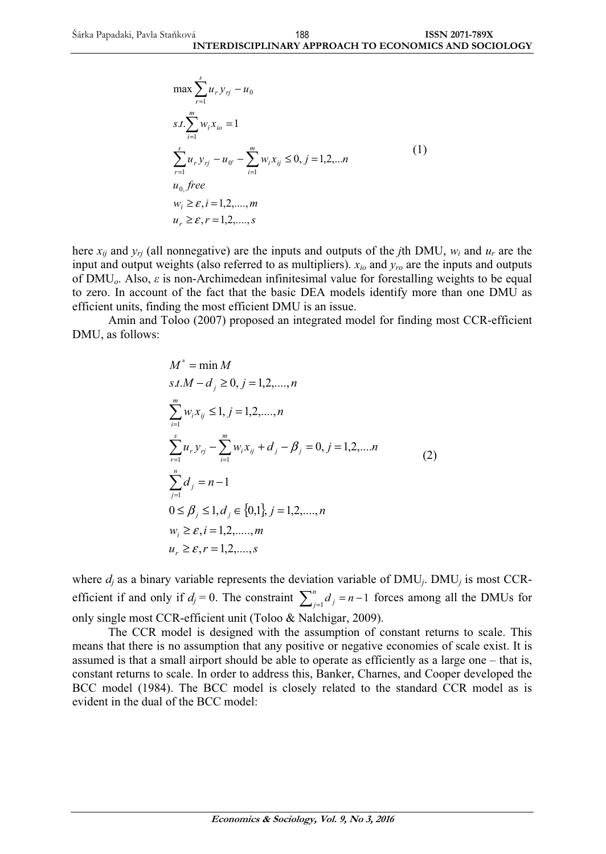$$
\max \sum_{r=1}^{s} u_r y_{rj} - u_0
$$
  
s.t. 
$$
\sum_{i=1}^{m} w_i x_{io} = 1
$$
  

$$
\sum_{r=1}^{s} u_r y_{rj} - u_0 - \sum_{i=1}^{m} w_i x_{ij} \le 0, j = 1, 2, \dots n
$$
  

$$
u_0 \text{, free}
$$
  

$$
w_i \ge \varepsilon, i = 1, 2, \dots, m
$$
  

$$
u_r \ge \varepsilon, r = 1, 2, \dots, s
$$
 (1)

here  $x_{ii}$  and  $y_{ri}$  (all nonnegative) are the inputs and outputs of the *j*th DMU,  $w_i$  and  $u_r$  are the input and output weights (also referred to as multipliers). *xio* and *yro* are the inputs and outputs of DMU<sub>o</sub>. Also,  $\varepsilon$  is non-Archimedean infinitesimal value for forestalling weights to be equal to zero. In account of the fact that the basic DEA models identify more than one DMU as efficient units, finding the most efficient DMU is an issue.

Amin and Toloo (2007) proposed an integrated model for finding most CCR-efficient DMU, as follows:

$$
M^* = \min M
$$
  
\n
$$
s.t.M - d_j \ge 0, j = 1, 2, ..., n
$$
  
\n
$$
\sum_{i=1}^{m} w_i x_{ij} \le 1, j = 1, 2, ..., n
$$
  
\n
$$
\sum_{r=1}^{s} u_r y_{rj} - \sum_{i=1}^{m} w_i x_{ij} + d_j - \beta_j = 0, j = 1, 2, ..., n
$$
  
\n
$$
\sum_{j=1}^{n} d_j = n - 1
$$
  
\n
$$
0 \le \beta_j \le 1, d_j \in \{0, 1\}, j = 1, 2, ..., n
$$
  
\n
$$
w_i \ge \varepsilon, i = 1, 2, ..., m
$$
  
\n
$$
u_r \ge \varepsilon, r = 1, 2, ..., s
$$

where  $d_i$  as a binary variable represents the deviation variable of  $\text{DMU}_i$ .  $\text{DMU}_j$  is most CCRefficient if and only if  $d_j = 0$ . The constraint  $\sum_{j=1}^{n} d_j = n$  $j'_{j=1}d_{j} = n-1$  forces among all the DMUs for only single most CCR-efficient unit (Toloo & Nalchigar, 2009).

The CCR model is designed with the assumption of constant returns to scale. This means that there is no assumption that any positive or negative economies of scale exist. It is assumed is that a small airport should be able to operate as efficiently as a large one – that is, constant returns to scale. In order to address this, Banker, Charnes, and Cooper developed the BCC model (1984). The BCC model is closely related to the standard CCR model as is evident in the dual of the BCC model: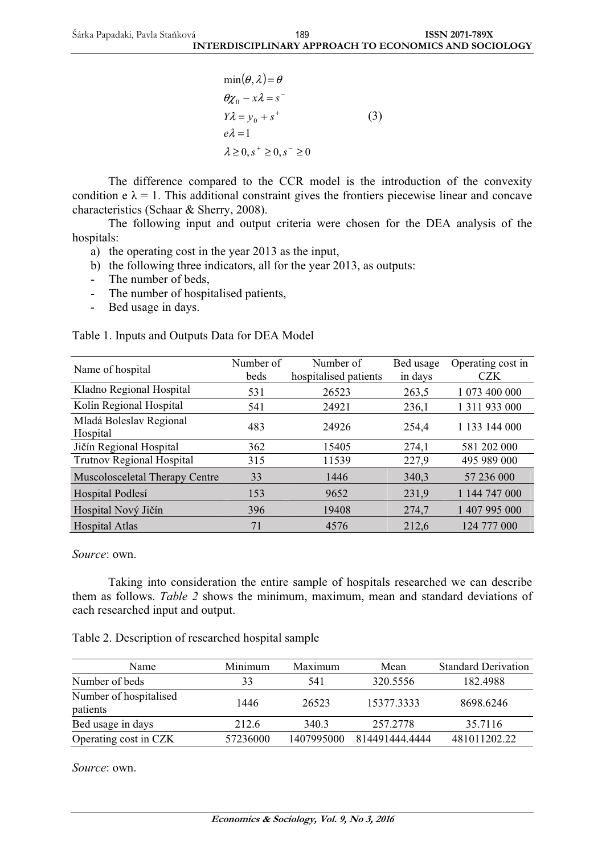$\min(\theta, \lambda) = \theta$  $\lambda \geq 0, s^+ \geq 0, s^- \geq 0$  $e\lambda = 1$  $Y\lambda = y_0 + s^+$  $\theta \chi_0 - x\lambda = s^-$ (3)

The difference compared to the CCR model is the introduction of the convexity condition  $e \lambda = 1$ . This additional constraint gives the frontiers piecewise linear and concave characteristics (Schaar & Sherry, 2008).

The following input and output criteria were chosen for the DEA analysis of the hospitals:

- a) the operating cost in the year 2013 as the input,
- b) the following three indicators, all for the year 2013, as outputs:
- The number of beds,
- The number of hospitalised patients,
- Bed usage in days.

| Table 1. Inputs and Outputs Data for DEA Model |  |  |  |  |  |
|------------------------------------------------|--|--|--|--|--|
|------------------------------------------------|--|--|--|--|--|

| Name of hospital               | Number of | Number of             | Bed usage | Operating cost in |
|--------------------------------|-----------|-----------------------|-----------|-------------------|
|                                | beds      | hospitalised patients | in days   | <b>CZK</b>        |
| Kladno Regional Hospital       | 531       | 26523                 | 263.5     | 1 073 400 000     |
| Kolín Regional Hospital        | 541       | 24921                 | 236,1     | 1 311 933 000     |
| Mladá Boleslav Regional        | 483       | 24926                 | 254,4     | 1 133 144 000     |
| Hospital                       |           |                       |           |                   |
| Jičín Regional Hospital        | 362       | 15405                 | 274,1     | 581 202 000       |
| Trutnov Regional Hospital      | 315       | 11539                 | 227,9     | 495 989 000       |
| Muscolosceletal Therapy Centre | 33        | 1446                  | 340,3     | 57 236 000        |
| Hospital Podlesí               | 153       | 9652                  | 231,9     | 1 144 747 000     |
| Hospital Nový Jičín            | 396       | 19408                 | 274,7     | 1 407 995 000     |
| <b>Hospital Atlas</b>          | 71        | 4576                  | 212.6     | 124 777 000       |

*Source*: own.

Taking into consideration the entire sample of hospitals researched we can describe them as follows. *Table 2* shows the minimum, maximum, mean and standard deviations of each researched input and output.

Table 2. Description of researched hospital sample

| Name                               | Minimum  | Maximum    | Mean           | <b>Standard Derivation</b> |
|------------------------------------|----------|------------|----------------|----------------------------|
| Number of beds                     | 33       | 541        | 320.5556       | 182.4988                   |
| Number of hospitalised<br>patients | 1446     | 26523      | 15377.3333     | 8698.6246                  |
| Bed usage in days                  | 212.6    | 340.3      | 257.2778       | 35.7116                    |
| Operating cost in CZK              | 57236000 | 1407995000 | 814491444.4444 | 481011202.22               |

*Source*: own.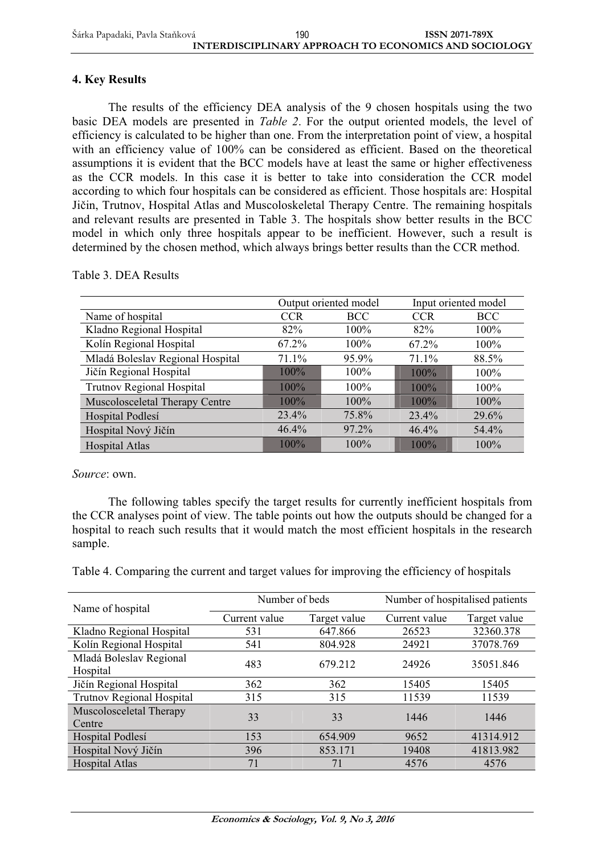## **4. Key Results**

The results of the efficiency DEA analysis of the 9 chosen hospitals using the two basic DEA models are presented in *Table 2*. For the output oriented models, the level of efficiency is calculated to be higher than one. From the interpretation point of view, a hospital with an efficiency value of 100% can be considered as efficient. Based on the theoretical assumptions it is evident that the BCC models have at least the same or higher effectiveness as the CCR models. In this case it is better to take into consideration the CCR model according to which four hospitals can be considered as efficient. Those hospitals are: Hospital Jičin, Trutnov, Hospital Atlas and Muscoloskeletal Therapy Centre. The remaining hospitals and relevant results are presented in Table 3. The hospitals show better results in the BCC model in which only three hospitals appear to be inefficient. However, such a result is determined by the chosen method, which always brings better results than the CCR method.

|                                  | Output oriented model |            |            | Input oriented model |
|----------------------------------|-----------------------|------------|------------|----------------------|
| Name of hospital                 | <b>CCR</b>            | <b>BCC</b> | <b>CCR</b> | BCC                  |
| Kladno Regional Hospital         | 82%                   | 100%       | 82%        | 100%                 |
| Kolín Regional Hospital          | 67.2%                 | $100\%$    | 67.2%      | 100%                 |
| Mladá Boleslav Regional Hospital | 71.1%                 | 95.9%      | 71.1%      | 88.5%                |
| Jičín Regional Hospital          | $100\%$               | $100\%$    | 100%       | 100%                 |
| Trutnov Regional Hospital        | $100\%$               | $100\%$    | 100%       | 100%                 |
| Muscolosceletal Therapy Centre   | $100\%$               | 100%       | $100\%$    | 100%                 |
| Hospital Podlesí                 | 23.4%                 | 75.8%      | 23.4%      | 29.6%                |
| Hospital Nový Jičín              | 46.4%                 | 97.2%      | 46.4%      | 54.4%                |
| <b>Hospital Atlas</b>            | $100\%$               | $100\%$    | 100%       | $100\%$              |

Table 3. DEA Results

*Source*: own.

The following tables specify the target results for currently inefficient hospitals from the CCR analyses point of view. The table points out how the outputs should be changed for a hospital to reach such results that it would match the most efficient hospitals in the research sample.

Table 4. Comparing the current and target values for improving the efficiency of hospitals

| Name of hospital                    | Number of beds |              | Number of hospitalised patients |              |
|-------------------------------------|----------------|--------------|---------------------------------|--------------|
|                                     | Current value  | Target value | Current value                   | Target value |
| Kladno Regional Hospital            | 531            | 647.866      | 26523                           | 32360.378    |
| Kolín Regional Hospital             | 541            | 804.928      | 24921                           | 37078.769    |
| Mladá Boleslav Regional<br>Hospital | 483            | 679.212      | 24926                           | 35051.846    |
| Jičín Regional Hospital             | 362            | 362          | 15405                           | 15405        |
| <b>Trutnov Regional Hospital</b>    | 315            | 315          | 11539                           | 11539        |
| Muscolosceletal Therapy<br>Centre   | 33             | 33           | 1446                            | 1446         |
| Hospital Podlesí                    | 153            | 654.909      | 9652                            | 41314.912    |
| Hospital Nový Jičín                 | 396            | 853.171      | 19408                           | 41813.982    |
| <b>Hospital Atlas</b>               | 71             | 71           | 4576                            | 4576         |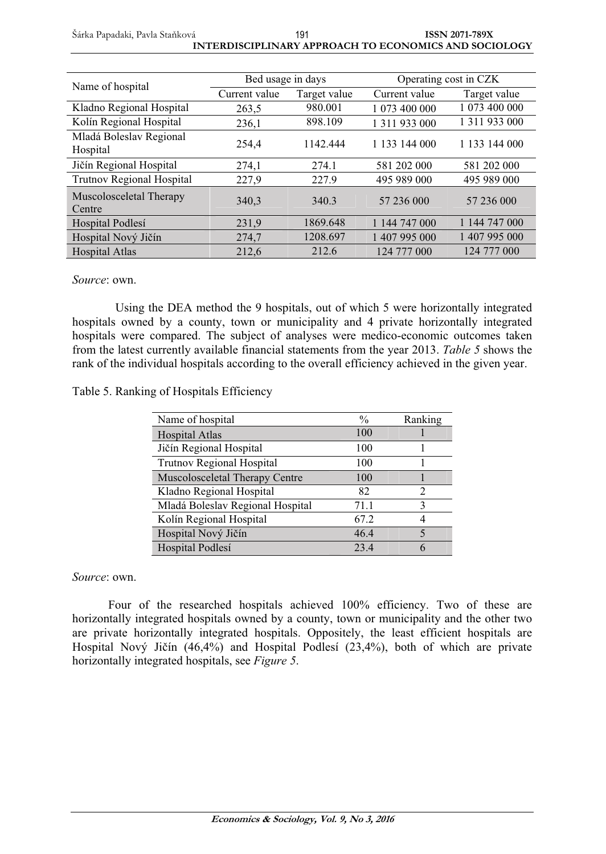#### Šárka Papadaki, Pavla Stałková **ISSN 2071-789X INTERDISCIPLINARY APPROACH TO ECONOMICS AND SOCIOLOGY**  191

| Name of hospital                    | Bed usage in days |              | Operating cost in CZK |               |
|-------------------------------------|-------------------|--------------|-----------------------|---------------|
|                                     | Current value     | Target value | Current value         | Target value  |
| Kladno Regional Hospital            | 263,5             | 980.001      | 1 073 400 000         | 1 073 400 000 |
| Kolín Regional Hospital             | 236,1             | 898.109      | 1 3 1 1 9 3 3 0 0 0   | 1 311 933 000 |
| Mladá Boleslav Regional<br>Hospital | 254.4             | 1142.444     | 1 133 144 000         | 1 133 144 000 |
| Jičín Regional Hospital             | 274,1             | 274.1        | 581 202 000           | 581 202 000   |
| Trutnov Regional Hospital           | 227,9             | 227.9        | 495 989 000           | 495 989 000   |
| Muscolosceletal Therapy<br>Centre   | 340.3             | 340.3        | 57 236 000            | 57 236 000    |
| Hospital Podlesí                    | 231,9             | 1869.648     | 1 144 747 000         | 1 144 747 000 |
| Hospital Nový Jičín                 | 274,7             | 1208.697     | 1 407 995 000         | 1 407 995 000 |
| <b>Hospital Atlas</b>               | 212.6             | 212.6        | 124 777 000           | 124 777 000   |

### *Source*: own.

Using the DEA method the 9 hospitals, out of which 5 were horizontally integrated hospitals owned by a county, town or municipality and 4 private horizontally integrated hospitals were compared. The subject of analyses were medico-economic outcomes taken from the latest currently available financial statements from the year 2013. *Table 5* shows the rank of the individual hospitals according to the overall efficiency achieved in the given year.

### Table 5. Ranking of Hospitals Efficiency

| Name of hospital                 | $\frac{0}{0}$ | Ranking |
|----------------------------------|---------------|---------|
| <b>Hospital Atlas</b>            | 100           |         |
| Jičín Regional Hospital          | 100           |         |
| <b>Trutnov Regional Hospital</b> | 100           |         |
| Muscolosceletal Therapy Centre   | 100           |         |
| Kladno Regional Hospital         | 82            | 2       |
| Mladá Boleslav Regional Hospital | 71.1          | 3       |
| Kolín Regional Hospital          | 67.2          |         |
| Hospital Nový Jičín              | 46.4          | 5       |
| Hospital Podlesí                 | 23.4          | 6       |

### *Source*: own.

Four of the researched hospitals achieved 100% efficiency. Two of these are horizontally integrated hospitals owned by a county, town or municipality and the other two are private horizontally integrated hospitals. Oppositely, the least efficient hospitals are Hospital Nový Jičín (46,4%) and Hospital Podlesí (23,4%), both of which are private horizontally integrated hospitals, see *Figure 5*.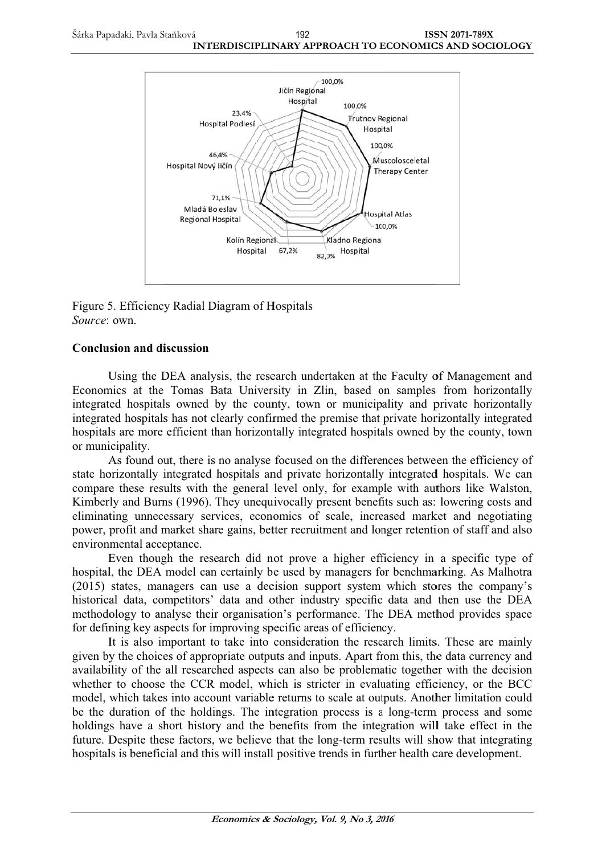

Figure 5. Efficiency Radial Diagram of Hospitals Source: own

## **Conclusion and discussion**

Using the DEA analysis, the research undertaken at the Faculty of Management and Economics at the Tomas Bata University in Zlin, based on samples from horizontally integrated hospitals owned by the county, town or municipality and private horizontally integrated hospitals has not clearly confirmed the premise that private horizontally integrated hospitals are more efficient than horizontally integrated hospitals owned by the county, town or municipality.

As found out, there is no analyse focused on the differences between the efficiency of state horizontally integrated hospitals and private horizontally integrated hospitals. We can compare these results with the general level only, for example with authors like Walston, Kimberly and Burns (1996). They unequivocally present benefits such as: lowering costs and eliminating unnecessary services, economics of scale, increased market and negotiating power, profit and market share gains, better recruitment and longer retention of staff and also environmental acceptance.

Even though the research did not prove a higher efficiency in a specific type of hospital, the DEA model can certainly be used by managers for benchmarking. As Malhotra (2015) states, managers can use a decision support system which stores the company's historical data, competitors' data and other industry specific data and then use the DEA methodology to analyse their organisation's performance. The DEA method provides space for defining key aspects for improving specific areas of efficiency.

It is also important to take into consideration the research limits. These are mainly given by the choices of appropriate outputs and inputs. Apart from this, the data currency and availability of the all researched aspects can also be problematic together with the decision whether to choose the CCR model, which is stricter in evaluating efficiency, or the BCC model, which takes into account variable returns to scale at outputs. Another limitation could be the duration of the holdings. The integration process is a long-term process and some holdings have a short history and the benefits from the integration will take effect in the future. Despite these factors, we believe that the long-term results will show that integrating hospitals is beneficial and this will install positive trends in further health care development.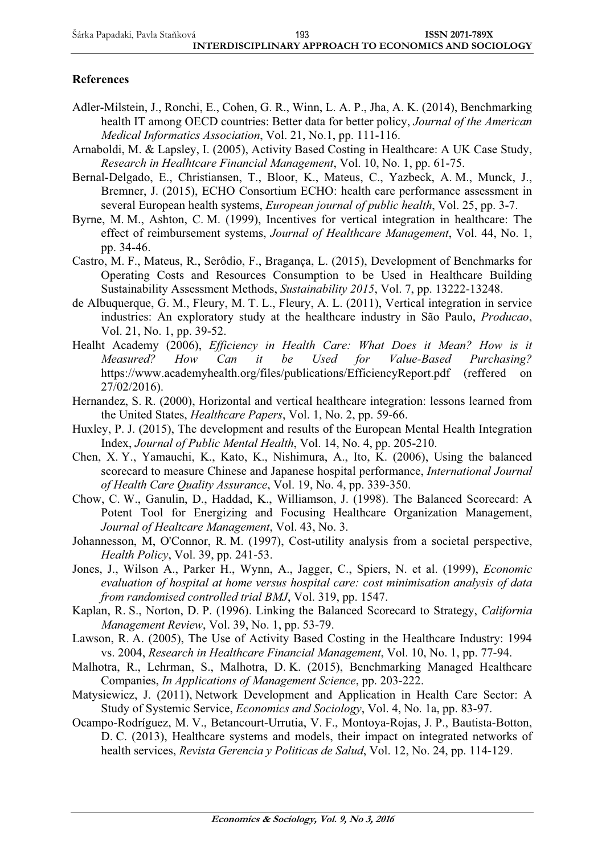## **References**

- Adler-Milstein, J., Ronchi, E., Cohen, G. R., Winn, L. A. P., Jha, A. K. (2014), Benchmarking health IT among OECD countries: Better data for better policy, *Journal of the American Medical Informatics Association*, Vol. 21, No.1, pp. 111-116.
- Arnaboldi, M. & Lapsley, I. (2005), Activity Based Costing in Healthcare: A UK Case Study, *Research in Healhtcare Financial Management*, Vol. 10, No. 1, pp. 61-75.
- Bernal-Delgado, E., Christiansen, T., Bloor, K., Mateus, C., Yazbeck, A. M., Munck, J., Bremner, J. (2015), ECHO Consortium ECHO: health care performance assessment in several European health systems, *European journal of public health*, Vol. 25, pp. 3-7.
- Byrne, M. M., Ashton, C. M. (1999), Incentives for vertical integration in healthcare: The effect of reimbursement systems, *Journal of Healthcare Management*, Vol. 44, No. 1, pp. 34-46.
- Castro, M. F., Mateus, R., Serôdio, F., Bragança, L. (2015), Development of Benchmarks for Operating Costs and Resources Consumption to be Used in Healthcare Building Sustainability Assessment Methods, *Sustainability 2015*, Vol. 7, pp. 13222-13248.
- de Albuquerque, G. M., Fleury, M. T. L., Fleury, A. L. (2011), Vertical integration in service industries: An exploratory study at the healthcare industry in São Paulo, *Producao*, Vol. 21, No. 1, pp. 39-52.
- Healht Academy (2006), *Efficiency in Health Care: What Does it Mean? How is it Measured? How Can it be Used for Value-Based Purchasing?* https://www.academyhealth.org/files/publications/EfficiencyReport.pdf (reffered on 27/02/2016).
- Hernandez, S. R. (2000), Horizontal and vertical healthcare integration: lessons learned from the United States, *Healthcare Papers*, Vol. 1, No. 2, pp. 59-66.
- Huxley, P. J. (2015), The development and results of the European Mental Health Integration Index, *Journal of Public Mental Health*, Vol. 14, No. 4, pp. 205-210.
- Chen, X. Y., Yamauchi, K., Kato, K., Nishimura, A., Ito, K. (2006), Using the balanced scorecard to measure Chinese and Japanese hospital performance, *International Journal of Health Care Quality Assurance*, Vol. 19, No. 4, pp. 339-350.
- Chow, C. W., Ganulin, D., Haddad, K., Williamson, J. (1998). The Balanced Scorecard: A Potent Tool for Energizing and Focusing Healthcare Organization Management, *Journal of Healtcare Management*, Vol. 43, No. 3.
- Johannesson, M, O'Connor, R. M. (1997), Cost-utility analysis from a societal perspective, *Health Policy*, Vol. 39, pp. 241-53.
- Jones, J., Wilson A., Parker H., Wynn, A., Jagger, C., Spiers, N. et al. (1999), *Economic evaluation of hospital at home versus hospital care: cost minimisation analysis of data from randomised controlled trial BMJ*, Vol. 319, pp. 1547.
- Kaplan, R. S., Norton, D. P. (1996). Linking the Balanced Scorecard to Strategy, *California Management Review*, Vol. 39, No. 1, pp. 53-79.
- Lawson, R. A. (2005), The Use of Activity Based Costing in the Healthcare Industry: 1994 vs. 2004, *Research in Healthcare Financial Management*, Vol. 10, No. 1, pp. 77-94.
- Malhotra, R., Lehrman, S., Malhotra, D. K. (2015), Benchmarking Managed Healthcare Companies, *In Applications of Management Science*, pp. 203-222.
- Matysiewicz, J. (2011), Network Development and Application in Health Care Sector: A Study of Systemic Service, *Economics and Sociology*, Vol. 4, No. 1a, pp. 83-97.
- Ocampo-Rodríguez, M. V., Betancourt-Urrutia, V. F., Montoya-Rojas, J. P., Bautista-Botton, D. C. (2013), Healthcare systems and models, their impact on integrated networks of health services, *Revista Gerencia y Politicas de Salud*, Vol. 12, No. 24, pp. 114-129.